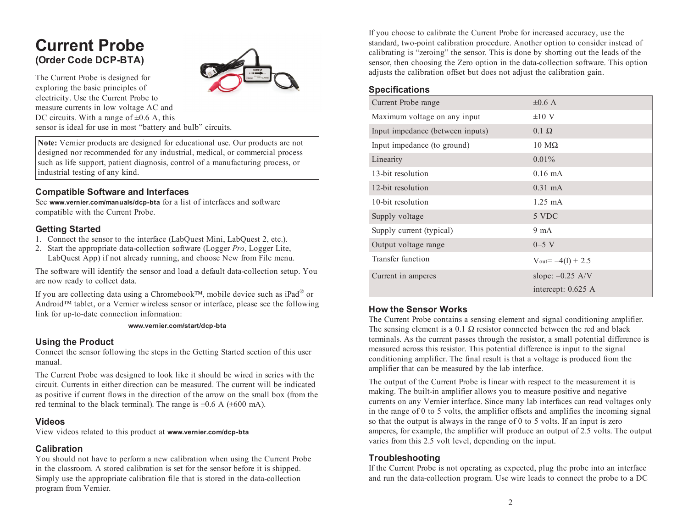# **Current Probe (Order Code DCP-BTA)**



The Current Probe is designed for exploring the basic principles of electricity. Use the Current Probe to measure currents in low voltage AC and DC circuits. With a range of  $\pm 0.6$  A, this sensor is ideal for use in most "battery and bulb" circuits.

**Note:** Vernier products are designed for educational use. Our products are not designed nor recommended for any industrial, medical, or commercial process such as life support, patient diagnosis, control of <sup>a</sup> manufacturing process, or industrial testing of any kind.

## **Compatible Software and Interfaces**

See **www.vernier.com/manuals/dcp-bta** for <sup>a</sup> list of interfaces and software compatible with the Current Probe.

## **Getting Started**

- 1. Connect the sensor to the interface (LabQuest Mini, LabQuest 2, etc.).
- 2. Start the appropriate data-collection software (Logger *Pro*, Logger Lite, LabQuest App) if not already running, and choose New from File menu.

The software will identify the sensor and load <sup>a</sup> default data-collection setup. You are now ready to collect data.

If you are collecting data using <sup>a</sup> Chromebook™, mobile device such as iPad ® or Android™ tablet, or <sup>a</sup> Vernier wireless sensor or interface, please see the following link for up-to-date connection information:

#### **www.vernier.com/start/dcp-bta**

#### **Using the Product**

Connect the sensor following the steps in the Getting Started section of this user manual.

The Current Probe was designed to look like it should be wired in series with the circuit. Currents in either direction can be measured. The current will be indicated as positive if current flows in the direction of the arrow on the small box (from the red terminal to the black terminal). The range is  $\pm 0.6$  A ( $\pm 600$  mA).

#### **Videos**

View videos related to this product at **www.vernier.com/dcp-bta**

### **Calibration**

You should not have to perform <sup>a</sup> new calibration when using the Current Probe in the classroom. A stored calibration is set for the sensor before it is shipped. Simply use the appropriate calibration file that is stored in the data-collection program from Vernier.

If you choose to calibrate the Current Probe for increased accuracy, use the standard, two-point calibration procedure. Another option to consider instead of calibrating is "zeroing" the sensor. This is done by shorting out the leads of the sensor, then choosing the Zero option in the data-collection software. This option adjusts the calibration offset but does not adjust the calibration gain.

## **Specifications**

| Current Probe range              | $\pm 0.6$ A                                |
|----------------------------------|--------------------------------------------|
| Maximum voltage on any input     | $\pm 10$ V                                 |
| Input impedance (between inputs) | $0.1 \Omega$                               |
| Input impedance (to ground)      | $10 \text{ M}\Omega$                       |
| Linearity                        | $0.01\%$                                   |
| 13-bit resolution                | $0.16 \text{ mA}$                          |
| 12-bit resolution                | $0.31 \text{ mA}$                          |
| 10-bit resolution                | $1.25 \text{ mA}$                          |
| Supply voltage                   | 5 VDC                                      |
| Supply current (typical)         | $9 \text{ mA}$                             |
| Output voltage range             | $0 - 5$ V                                  |
| Transfer function                | $V_{\text{out}} = -4(I) + 2.5$             |
| Current in amperes               | slope: $-0.25$ A/V<br>intercept: $0.625$ A |

### **How the Sensor Works**

The Current Probe contains <sup>a</sup> sensing element and signal conditioning amplifier. The sensing element is a 0.1  $\Omega$  resistor connected between the red and black terminals. As the current passes through the resistor, <sup>a</sup> small potential difference is measured across this resistor. This potential difference is input to the signal conditioning amplifier. The final result is that <sup>a</sup> voltage is produced from the amplifier that can be measured by the lab interface.

The output of the Current Probe is linear with respec<sup>t</sup> to the measurement it is making. The built-in amplifier allows you to measure positive and negative currents on any Vernier interface. Since many lab interfaces can read voltages only in the range of 0 to 5 volts, the amplifier offsets and amplifies the incoming signal so that the output is always in the range of 0 to 5 volts. If an input is zero amperes, for example, the amplifier will produce an output of 2.5 volts. The output varies from this 2.5 volt level, depending on the input.

## **Troubleshooting**

If the Current Probe is not operating as expected, plug the probe into an interface and run the data-collection program. Use wire leads to connect the probe to <sup>a</sup> DC